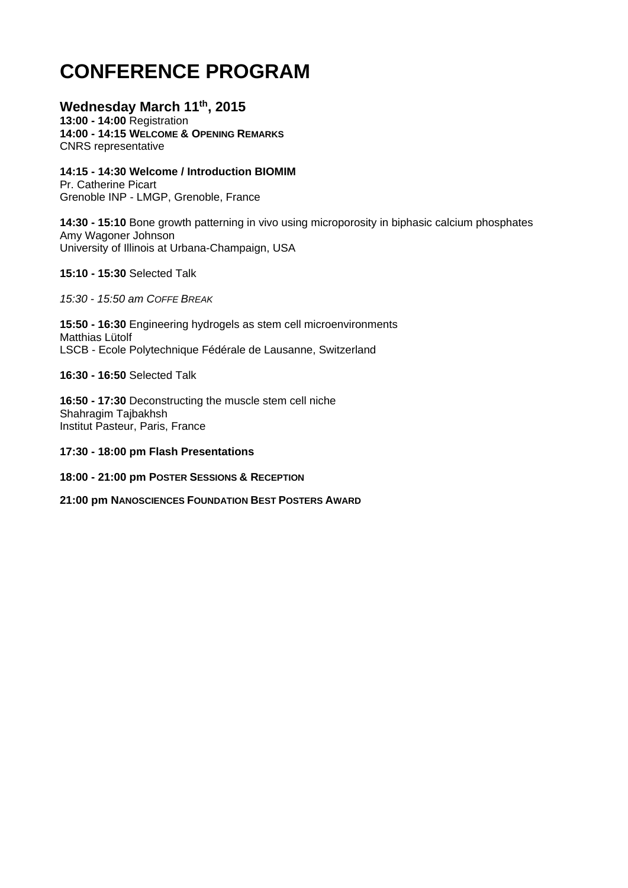# **CONFERENCE PROGRAM**

**Wednesday March 11th, 2015** 

**13:00 - 14:00** Registration **14:00 - 14:15 WELCOME & OPENING REMARKS**  CNRS representative

**14:15 - 14:30 Welcome / Introduction BIOMIM**  Pr. Catherine Picart Grenoble INP - LMGP, Grenoble, France

**14:30 - 15:10** Bone growth patterning in vivo using microporosity in biphasic calcium phosphates Amy Wagoner Johnson University of Illinois at Urbana-Champaign, USA

### **15:10 - 15:30** Selected Talk

*15:30 - 15:50 am COFFE BREAK* 

**15:50 - 16:30** Engineering hydrogels as stem cell microenvironments Matthias Lütolf LSCB - Ecole Polytechnique Fédérale de Lausanne, Switzerland

**16:30 - 16:50** Selected Talk

**16:50 - 17:30** Deconstructing the muscle stem cell niche Shahragim Tajbakhsh Institut Pasteur, Paris, France

## **17:30 - 18:00 pm Flash Presentations**

**18:00 - 21:00 pm POSTER SESSIONS & RECEPTION** 

**21:00 pm NANOSCIENCES FOUNDATION BEST POSTERS AWARD**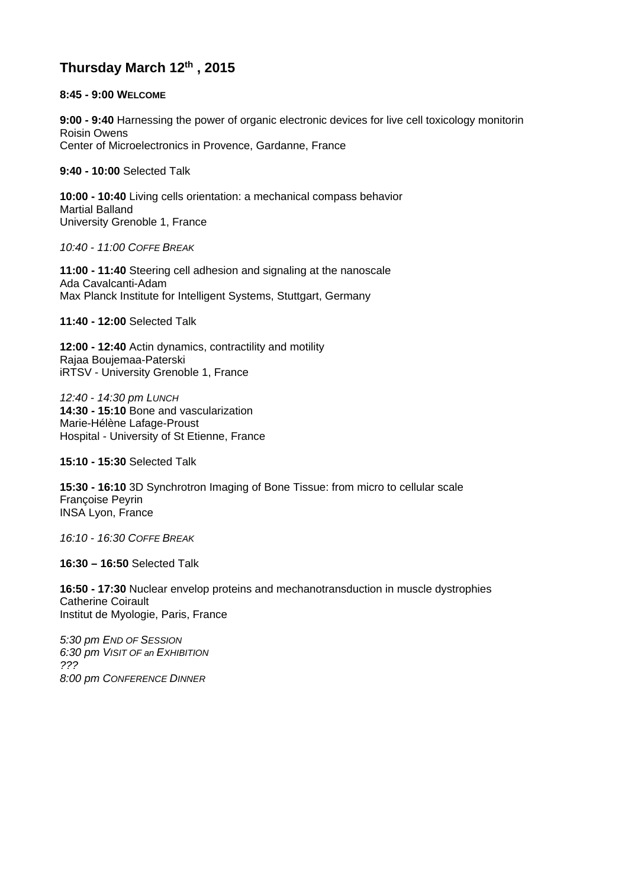## **Thursday March 12th , 2015**

**8:45 - 9:00 WELCOME** 

**9:00 - 9:40** Harnessing the power of organic electronic devices for live cell toxicology monitorin Roisin Owens Center of Microelectronics in Provence, Gardanne, France

**9:40 - 10:00** Selected Talk

**10:00 - 10:40** Living cells orientation: a mechanical compass behavior Martial Balland University Grenoble 1, France

*10:40 - 11:00 COFFE BREAK* 

**11:00 - 11:40** Steering cell adhesion and signaling at the nanoscale Ada Cavalcanti-Adam Max Planck Institute for Intelligent Systems, Stuttgart, Germany

**11:40 - 12:00** Selected Talk

**12:00 - 12:40** Actin dynamics, contractility and motility Rajaa Boujemaa-Paterski iRTSV - University Grenoble 1, France

*12:40 - 14:30 pm LUNCH* **14:30 - 15:10** Bone and vascularization Marie-Hélène Lafage-Proust Hospital - University of St Etienne, France

**15:10 - 15:30** Selected Talk

**15:30 - 16:10** 3D Synchrotron Imaging of Bone Tissue: from micro to cellular scale Françoise Peyrin INSA Lyon, France

*16:10 - 16:30 COFFE BREAK* 

**16:30 – 16:50** Selected Talk

**16:50 - 17:30** Nuclear envelop proteins and mechanotransduction in muscle dystrophies Catherine Coirault Institut de Myologie, Paris, France

*5:30 pm END OF SESSION 6:30 pm VISIT OF an EXHIBITION ??? 8:00 pm CONFERENCE DINNER*